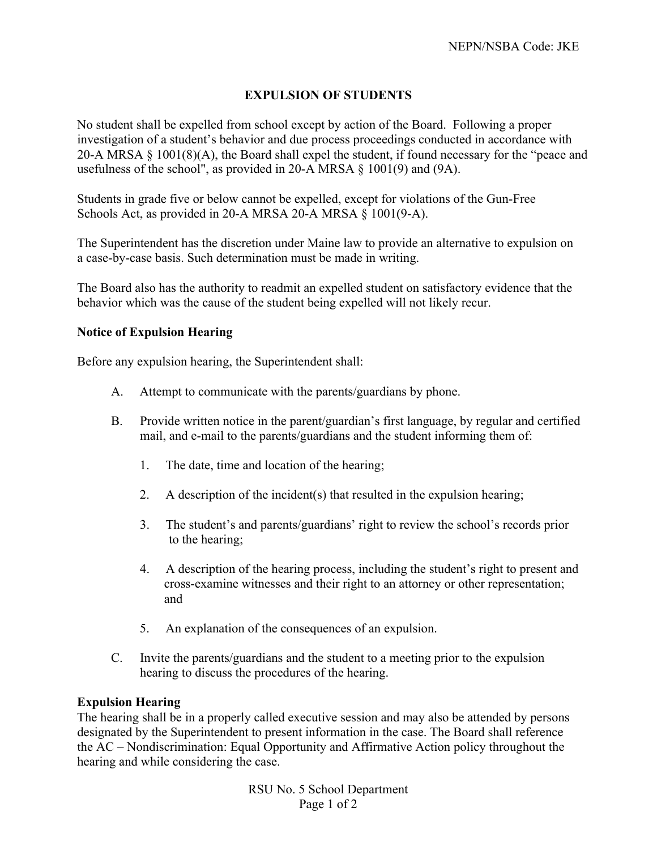## **EXPULSION OF STUDENTS**

No student shall be expelled from school except by action of the Board. Following a proper investigation of a student's behavior and due process proceedings conducted in accordance with 20-A MRSA § 1001(8)(A), the Board shall expel the student, if found necessary for the "peace and usefulness of the school", as provided in 20-A MRSA § 1001(9) and (9A).

Students in grade five or below cannot be expelled, except for violations of the Gun-Free Schools Act, as provided in 20-A MRSA 20-A MRSA § 1001(9-A).

The Superintendent has the discretion under Maine law to provide an alternative to expulsion on a case-by-case basis. Such determination must be made in writing.

The Board also has the authority to readmit an expelled student on satisfactory evidence that the behavior which was the cause of the student being expelled will not likely recur.

## **Notice of Expulsion Hearing**

Before any expulsion hearing, the Superintendent shall:

- A. Attempt to communicate with the parents/guardians by phone.
- B. Provide written notice in the parent/guardian's first language, by regular and certified mail, and e-mail to the parents/guardians and the student informing them of:
	- 1. The date, time and location of the hearing;
	- 2. A description of the incident(s) that resulted in the expulsion hearing;
	- 3. The student's and parents/guardians' right to review the school's records prior to the hearing;
	- 4. A description of the hearing process, including the student's right to present and cross-examine witnesses and their right to an attorney or other representation; and
	- 5. An explanation of the consequences of an expulsion.
- C. Invite the parents/guardians and the student to a meeting prior to the expulsion hearing to discuss the procedures of the hearing.

## **Expulsion Hearing**

The hearing shall be in a properly called executive session and may also be attended by persons designated by the Superintendent to present information in the case. The Board shall reference the AC – Nondiscrimination: Equal Opportunity and Affirmative Action policy throughout the hearing and while considering the case.

> RSU No. 5 School Department Page 1 of 2